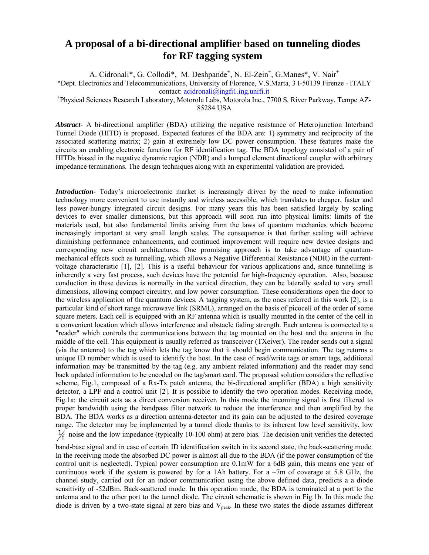## **A proposal of a bi-directional amplifier based on tunneling diodes for RF tagging system**

A. Cidronali\*, G. Collodi\*, M. Deshpande<sup>+</sup>, N. El-Zein<sup>+</sup>, G.Manes\*, V. Nair<sup>+</sup>

\*Dept. Electronics and Telecommunications, University of Florence, V.S.Marta, 3 I-50139 Firenze - ITALY

contact: [acidronali@ingfi1.ing.unifi.it](mailto: acidronali@ingfi1.ing.unifi.it)<br>+Physical Sciences Research Laboratory, Motorola Labs, Motorola Inc., 7700 S. River Parkway, Tempe AZ-

85284 USA

*Abstract***-** A bi-directional amplifier (BDA) utilizing the negative resistance of Heterojunction Interband Tunnel Diode (HITD) is proposed. Expected features of the BDA are: 1) symmetry and reciprocity of the associated scattering matrix; 2) gain at extremely low DC power consumption. These features make the circuits an enabling electronic function for RF identification tag. The BDA topology consisted of a pair of HITDs biased in the negative dynamic region (NDR) and a lumped element directional coupler with arbitrary impedance terminations. The design techniques along with an experimental validation are provided.

*Introduction***-** Today's microelectronic market is increasingly driven by the need to make information technology more convenient to use instantly and wireless accessible, which translates to cheaper, faster and less power-hungry integrated circuit designs. For many years this has been satisfied largely by scaling devices to ever smaller dimensions, but this approach will soon run into physical limits: limits of the materials used, but also fundamental limits arising from the laws of quantum mechanics which become increasingly important at very small length scales. The consequence is that further scaling will achieve diminishing performance enhancements, and continued improvement will require new device designs and corresponding new circuit architectures. One promising approach is to take advantage of quantummechanical effects such as tunnelling, which allows a Negative Differential Resistance (NDR) in the currentvoltage characteristic [1], [2]. This is a useful behaviour for various applications and, since tunnelling is inherently a very fast process, such devices have the potential for high-frequency operation. Also, because conduction in these devices is normally in the vertical direction, they can be laterally scaled to very small dimensions, allowing compact circuitry, and low power consumption. These considerations open the door to the wireless application of the quantum devices. A tagging system, as the ones referred in this work [2], is a particular kind of short range microwave link (SRML), arranged on the basis of picocell of the order of some square meters. Each cell is equipped with an RF antenna which is usually mounted in the center of the cell in a convenient location which allows interference and obstacle fading strength. Each antenna is connected to a "reader" which controls the communications between the tag mounted on the host and the antenna in the middle of the cell. This equipment is usually referred as transceiver (TXeiver). The reader sends out a signal (via the antenna) to the tag which lets the tag know that it should begin communication. The tag returns a unique ID number which is used to identify the host. In the case of read/write tags or smart tags, additional information may be transmitted by the tag (e.g. any ambient related information) and the reader may send back updated information to be encoded on the tag/smart card. The proposed solution considers the reflective scheme, Fig.1, composed of a Rx-Tx patch antenna, the bi-directional amplifier (BDA) a high sensitivity detector, a LPF and a control unit [2]. It is possible to identify the two operation modes. Receiving mode, Fig.1a: the circuit acts as a direct conversion receiver. In this mode the incoming signal is first filtered to proper bandwidth using the bandpass filter network to reduce the interference and then amplified by the BDA. The BDA works as a direction antenna-detector and its gain can be adjusted to the desired coverage range. The detector may be implemented by a tunnel diode thanks to its inherent low level sensitivity, low  $\frac{1}{f}$  noise and the low impedance (typically 10-100 ohm) at zero bias. The decision unit verifies the detected

band-base signal and in case of certain ID identification switch in its second state, the back-scattering mode. In the receiving mode the absorbed DC power is almost all due to the BDA (if the power consumption of the control unit is neglected). Typical power consumption are 0.1mW for a 6dB gain, this means one year of continuous work if the system is powered by for a 1Ah battery. For a  $\sim$ 7m of coverage at 5.8 GHz, the channel study, carried out for an indoor communication using the above defined data, predicts a a diode sensitivity of -52dBm. Back-scattered mode: In this operation mode, the BDA is terminated at a port to the antenna and to the other port to the tunnel diode. The circuit schematic is shown in Fig.1b. In this mode the diode is driven by a two-state signal at zero bias and  $V_{peak}$ . In these two states the diode assumes different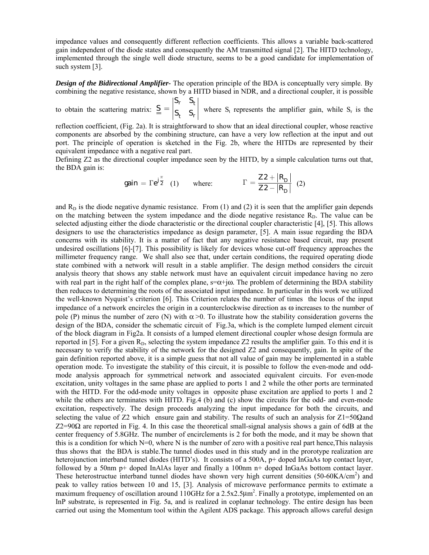impedance values and consequently different reflection coefficients. This allows a variable back-scattered gain independent of the diode states and consequently the AM transmitted signal [2]. The HITD technology, implemented through the single well diode structure, seems to be a good candidate for implementation of such system [3].

*Design of the Bidirectional Amplifier-* The operation principle of the BDA is conceptually very simple. By combining the negative resistance, shown by a HITD biased in NDR, and a directional coupler, it is possible  $S_r$  S

to obtain the scattering matrix:  $r \rightarrow t$  $t \rightarrow$  $S = \begin{bmatrix} 1 & 1 \ S_t & S_t \end{bmatrix}$  where S<sub>t</sub> represents the amplifier gain, while S<sub>t</sub> is the

reflection coefficient, (Fig. 2a). It is straightforward to show that an ideal directional coupler, whose reactive components are absorbed by the combining structure, can have a very low reflection at the input and out port. The principle of operation is sketched in the Fig. 2b, where the HITDs are represented by their equivalent impedance with a negative real part.

Defining Z2 as the directional coupler impedance seen by the HITD, by a simple calculation turns out that, the BDA gain is:

$$
gain = \Gamma e^{j\frac{\pi}{2}} \quad (1) \qquad \text{where:} \qquad \qquad \Gamma = \frac{Z2 + |R_D|}{Z2 - |R_D|} \quad (2)
$$

and  $R<sub>D</sub>$  is the diode negative dynamic resistance. From (1) and (2) it is seen that the amplifier gain depends on the matching between the system impedance and the diode negative resistance  $R<sub>D</sub>$ . The value can be selected adjusting either the diode characteristic or the directional coupler characteristic [4], [5]. This allows designers to use the characteristics impedance as design parameter, [5]. A main issue regarding the BDA concerns with its stability. It is a matter of fact that any negative resistance based circuit, may present undesired oscillations [6]-[7]. This possibility is likely for devices whose cut-off frequency approaches the millimeter frequency range. We shall also see that, under certain conditions, the required operating diode state combined with a network will result in a stable amplifier. The design method considers the circuit analysis theory that shows any stable network must have an equivalent circuit impedance having no zero with real part in the right half of the complex plane,  $s=\alpha+i\omega$ . The problem of determining the BDA stability then reduces to determining the roots of the associated input impedance. In particular in this work we utilized the well-known Nyquist's criterion [6]. This Criterion relates the number of times the locus of the input impedance of a network encircles the origin in a counterclockwise direction as ω increases to the number of pole (P) minus the number of zero (N) with  $\alpha > 0$ . To illustrate how the stability consideration governs the design of the BDA, consider the schematic circuit of Fig.3a, which is the complete lumped element circuit of the block diagram in Fig2a. It consists of a lumped element directional coupler whose design formula are reported in [5]. For a given  $R_D$ , selecting the system impedance Z2 results the amplifier gain. To this end it is necessary to verify the stability of the network for the designed Z2 and consequently, gain. In spite of the gain definition reported above, it is a simple guess that not all value of gain may be implemented in a stable operation mode. To investigate the stability of this circuit, it is possible to follow the even-mode and oddmode analysis approach for symmetrical network and associated equivalent circuits. For even-mode excitation, unity voltages in the same phase are applied to ports 1 and 2 while the other ports are terminated with the HITD. For the odd-mode unity voltages in opposite phase excitation are applied to ports 1 and 2 while the others are terminates with HITD. Fig.4 (b) and (c) show the circuits for the odd- and even-mode excitation, respectively. The design proceeds analyzing the input impedance for both the circuits, and selecting the value of Z2 which ensure gain and stability. The results of such an analysis for  $Z1 = 50\Omega$ and Z2=90Ω are reported in Fig. 4. In this case the theoretical small-signal analysis shows a gain of 6dB at the center frequency of 5.8GHz. The number of encirclements is 2 for both the mode, and it may be shown that this is a condition for which N=0, where N is the number of zero with a positive real part hence,This nalaysis thus shows that the BDA is stable.The tunnel diodes used in this study and in the prorotype realization are heterojunction interband tunnel diodes (HITD's). It consists of a 500A, p+ doped InGaAs top contact layer, followed by a 50nm p+ doped InAlAs layer and finally a 100nm n+ doped InGaAs bottom contact layer. These heterostructue interband tunnel diodes have shown very high current densities (50-60KA/cm<sup>2</sup>) and peak to valley ratios between 10 and 15, [3]. Analysis of microwave performance permits to extimate a maximum frequency of oscillation around  $110 \text{GHz}$  for a  $2.5 \text{x} 2.5 \mu \text{m}^2$ . Finally a prototype, implemented on an InP substrate, is represented in Fig. 5a, and is realized in coplanar technology. The entire design has been carried out using the Momentum tool within the Agilent ADS package. This approach allows careful design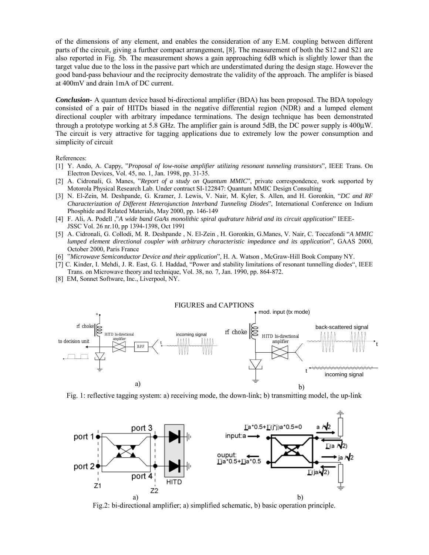of the dimensions of any element, and enables the consideration of any E.M. coupling between different parts of the circuit, giving a further compact arrangement, [8]. The measurement of both the S12 and S21 are also reported in Fig. 5b. The measurement shows a gain approaching 6dB which is slightly lower than the target value due to the loss in the passive part which are understimated during the design stage. However the good band-pass behaviour and the reciprocity demostrate the validity of the approach. The amplifer is biased at 400mV and drain 1mA of DC current.

*Conclusion-* A quantum device based bi-directional amplifier (BDA) has been proposed. The BDA topology consisted of a pair of HITDs biased in the negative differential region (NDR) and a lumped element directional coupler with arbitrary impedance terminations. The design technique has been demonstrated through a prototype working at 5.8 GHz. The amplifier gain is around 5dB, the DC power supply is 400µW. The circuit is very attractive for tagging applications due to extremely low the power consumption and simplicity of circuit

References:

- [1] Y. Ando, A. Cappy, "*Proposal of low-noise amplifier utilizing resonant tunneling transistors*", IEEE Trans. On Electron Devices, Vol. 45, no. 1, Jan. 1998, pp. 31-35.
- [2] A. Cidronali, G. Manes, "*Report of a study on Quantum MMIC*", private correspondence, work supported by Motorola Physical Research Lab. Under contract SI-122847: Quantum MMIC Design Consulting
- [3] N. El-Zein, M. Deshpande, G. Kramer, J. Lewis, V. Nair, M. Kyler, S. Allen, and H. Goronkin, "*DC and RF Characterization of Different Heterojunction Interband Tunneling Diodes*", International Conference on Indium Phosphide and Related Materials, May 2000, pp. 146-149
- [4] F. Ali, A. Podell ,"*A wide band GaAs monolithic spiral qudrature hibrid and its circuit application*" IEEE-JSSC Vol. 26 nr.10, pp 1394-1398, Oct 1991
- [5] A. Cidronali, G. Collodi, M. R. Deshpande , N. El-Zein , H. Goronkin, G.Manes, V. Nair, C. Toccafondi "*A MMIC lumped element directional coupler with arbitrary characteristic impedance and its application*", GAAS 2000, October 2000, Paris France
- [6] "*Microwave Semiconductor Device and their application*", H. A. Watson , McGraw-Hill Book Company NY.
- [7] C. Kinder, I. Mehdi, J. R. East, G. I. Haddad, "Power and stability limitations of resonant tunnelling diodes", IEEE Trans. on Microwave theory and technique, Vol. 38, no. 7, Jan. 1990, pp. 864-872.
- [8] EM, Sonnet Software, Inc., Liverpool, NY.



Fig. 1: reflective tagging system: a) receiving mode, the down-link; b) transmitting model, the up-link



Fig.2: bi-directional amplifier; a) simplified schematic, b) basic operation principle.